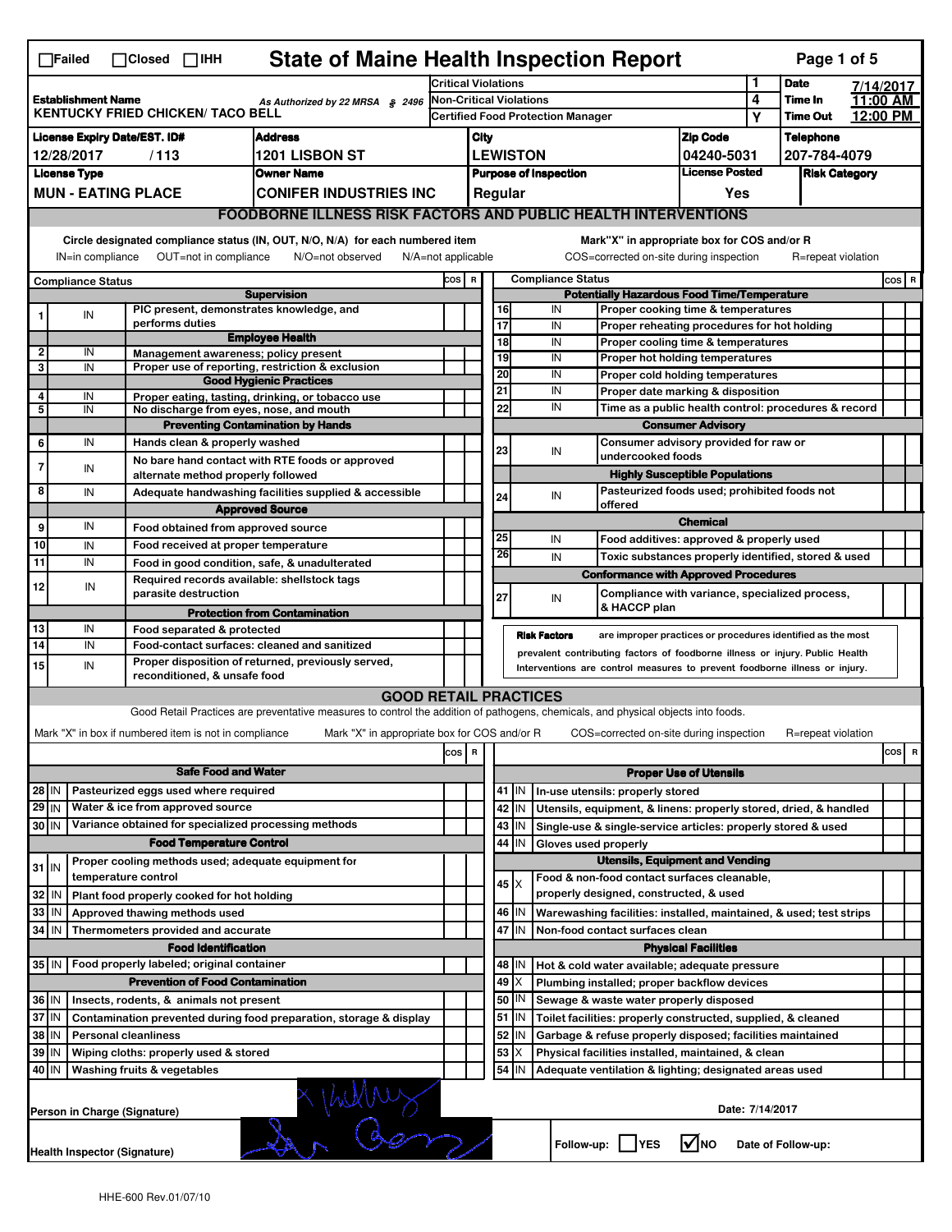|                                                                                                          | <b>State of Maine Health Inspection Report</b><br>Page 1 of 5<br>$\Box$ Failed<br>$\Box$ Closed $\Box$ IHH |  |                             |                                                       |                                                                                              |                                              |       |       |                                        |                      |                                   |                                                                                                                                                            |                       |           |                      |  |          |
|----------------------------------------------------------------------------------------------------------|------------------------------------------------------------------------------------------------------------|--|-----------------------------|-------------------------------------------------------|----------------------------------------------------------------------------------------------|----------------------------------------------|-------|-------|----------------------------------------|----------------------|-----------------------------------|------------------------------------------------------------------------------------------------------------------------------------------------------------|-----------------------|-----------|----------------------|--|----------|
|                                                                                                          |                                                                                                            |  |                             |                                                       |                                                                                              | <b>Critical Violations</b>                   |       |       |                                        |                      | 1                                 | <b>Date</b>                                                                                                                                                |                       | 7/14/2017 |                      |  |          |
| <b>Establishment Name</b><br>As Authorized by 22 MRSA § 2496<br><b>KENTUCKY FRIED CHICKEN/ TACO BELL</b> |                                                                                                            |  |                             |                                                       | <b>Non-Critical Violations</b>                                                               |                                              |       |       |                                        |                      | 4                                 | Time In                                                                                                                                                    |                       | 11:00 AM  |                      |  |          |
|                                                                                                          |                                                                                                            |  |                             |                                                       |                                                                                              |                                              |       |       |                                        |                      | Certified Food Protection Manager |                                                                                                                                                            |                       | Y         | <b>Time Out</b>      |  | 12:00 PM |
|                                                                                                          | <b>License Expiry Date/EST. ID#</b>                                                                        |  |                             |                                                       | <b>Address</b>                                                                               |                                              |       | City  |                                        |                      |                                   |                                                                                                                                                            | <b>Zip Code</b>       |           | <b>Telephone</b>     |  |          |
|                                                                                                          | 12/28/2017                                                                                                 |  | /113                        |                                                       | <b>1201 LISBON ST</b>                                                                        |                                              |       |       |                                        | <b>LEWISTON</b>      |                                   |                                                                                                                                                            | 04240-5031            |           | 207-784-4079         |  |          |
|                                                                                                          | <b>License Type</b>                                                                                        |  |                             |                                                       | <b>Owner Name</b>                                                                            |                                              |       |       |                                        |                      | <b>Purpose of Inspection</b>      |                                                                                                                                                            | <b>License Posted</b> |           | <b>Risk Category</b> |  |          |
|                                                                                                          | <b>MUN - EATING PLACE</b>                                                                                  |  |                             |                                                       | <b>CONIFER INDUSTRIES INC</b>                                                                |                                              |       |       |                                        | Regular              |                                   |                                                                                                                                                            | Yes                   |           |                      |  |          |
|                                                                                                          |                                                                                                            |  |                             |                                                       |                                                                                              |                                              |       |       |                                        |                      |                                   | <b>FOODBORNE ILLNESS RISK FACTORS AND PUBLIC HEALTH INTERVENTIONS</b>                                                                                      |                       |           |                      |  |          |
|                                                                                                          | Circle designated compliance status (IN, OUT, N/O, N/A) for each numbered item                             |  |                             |                                                       |                                                                                              |                                              |       |       |                                        |                      |                                   | Mark"X" in appropriate box for COS and/or R                                                                                                                |                       |           |                      |  |          |
|                                                                                                          | OUT=not in compliance<br>N/O=not observed<br>IN=in compliance<br>$N/A = not$ applicable                    |  |                             |                                                       |                                                                                              |                                              |       |       |                                        |                      |                                   | COS=corrected on-site during inspection                                                                                                                    |                       |           | R=repeat violation   |  |          |
|                                                                                                          |                                                                                                            |  |                             |                                                       |                                                                                              |                                              | COS R |       |                                        |                      | <b>Compliance Status</b>          |                                                                                                                                                            |                       |           |                      |  |          |
|                                                                                                          | <b>Compliance Status</b>                                                                                   |  |                             |                                                       | <b>Supervision</b>                                                                           |                                              |       |       |                                        |                      |                                   | <b>Potentially Hazardous Food Time/Temperature</b>                                                                                                         |                       |           |                      |  | $cos$ R  |
| 1                                                                                                        | IN                                                                                                         |  |                             |                                                       | PIC present, demonstrates knowledge, and                                                     |                                              |       |       | 16                                     |                      | IN                                | Proper cooking time & temperatures                                                                                                                         |                       |           |                      |  |          |
|                                                                                                          |                                                                                                            |  | performs duties             |                                                       |                                                                                              |                                              |       |       | $\overline{17}$                        |                      | IN                                | Proper reheating procedures for hot holding                                                                                                                |                       |           |                      |  |          |
|                                                                                                          |                                                                                                            |  |                             |                                                       | <b>Employee Health</b>                                                                       |                                              |       |       | $\overline{18}$                        |                      | IN                                | Proper cooling time & temperatures                                                                                                                         |                       |           |                      |  |          |
| 2<br>3                                                                                                   | IN<br>IN                                                                                                   |  |                             |                                                       | Management awareness; policy present<br>Proper use of reporting, restriction & exclusion     |                                              |       |       | 19                                     |                      | IN                                | Proper hot holding temperatures                                                                                                                            |                       |           |                      |  |          |
|                                                                                                          |                                                                                                            |  |                             |                                                       | <b>Good Hygienic Practices</b>                                                               |                                              |       |       | 20                                     |                      | IN                                | Proper cold holding temperatures                                                                                                                           |                       |           |                      |  |          |
| 4                                                                                                        | IN                                                                                                         |  |                             |                                                       | Proper eating, tasting, drinking, or tobacco use                                             |                                              |       |       | 21                                     |                      | IN                                | Proper date marking & disposition                                                                                                                          |                       |           |                      |  |          |
| 5                                                                                                        | IN                                                                                                         |  |                             |                                                       | No discharge from eyes, nose, and mouth                                                      |                                              |       |       | 22                                     |                      | IN                                | Time as a public health control: procedures & record                                                                                                       |                       |           |                      |  |          |
|                                                                                                          |                                                                                                            |  |                             |                                                       | <b>Preventing Contamination by Hands</b>                                                     |                                              |       |       |                                        |                      |                                   | <b>Consumer Advisory</b>                                                                                                                                   |                       |           |                      |  |          |
| 6                                                                                                        | IN                                                                                                         |  |                             | Hands clean & properly washed                         |                                                                                              |                                              |       |       | 23                                     |                      | IN                                | Consumer advisory provided for raw or                                                                                                                      |                       |           |                      |  |          |
| $\overline{7}$                                                                                           | IN                                                                                                         |  |                             |                                                       | No bare hand contact with RTE foods or approved                                              |                                              |       |       |                                        |                      |                                   | undercooked foods                                                                                                                                          |                       |           |                      |  |          |
| 8                                                                                                        |                                                                                                            |  |                             | alternate method properly followed                    |                                                                                              |                                              |       |       |                                        |                      |                                   | <b>Highly Susceptible Populations</b><br>Pasteurized foods used; prohibited foods not                                                                      |                       |           |                      |  |          |
|                                                                                                          | IN                                                                                                         |  |                             |                                                       | Adequate handwashing facilities supplied & accessible                                        |                                              |       |       | 24                                     |                      | IN                                | offered                                                                                                                                                    |                       |           |                      |  |          |
|                                                                                                          | IN                                                                                                         |  |                             |                                                       | <b>Approved Source</b>                                                                       |                                              |       |       |                                        |                      |                                   |                                                                                                                                                            | <b>Chemical</b>       |           |                      |  |          |
| 9                                                                                                        |                                                                                                            |  |                             |                                                       | Food obtained from approved source                                                           |                                              |       |       | 25                                     |                      | IN                                | Food additives: approved & properly used                                                                                                                   |                       |           |                      |  |          |
| 10<br>11                                                                                                 | IN                                                                                                         |  |                             |                                                       | Food received at proper temperature                                                          |                                              |       |       | 26                                     |                      | IN                                | Toxic substances properly identified, stored & used                                                                                                        |                       |           |                      |  |          |
|                                                                                                          | IN                                                                                                         |  |                             |                                                       | Food in good condition, safe, & unadulterated<br>Required records available: shellstock tags |                                              |       |       |                                        |                      |                                   | <b>Conformance with Approved Procedures</b>                                                                                                                |                       |           |                      |  |          |
| 12                                                                                                       | IN                                                                                                         |  |                             | parasite destruction                                  |                                                                                              |                                              |       |       | 27                                     |                      |                                   | Compliance with variance, specialized process,                                                                                                             |                       |           |                      |  |          |
|                                                                                                          |                                                                                                            |  |                             |                                                       | <b>Protection from Contamination</b>                                                         |                                              |       |       |                                        |                      | IN                                | & HACCP plan                                                                                                                                               |                       |           |                      |  |          |
| 13                                                                                                       | IN                                                                                                         |  |                             | Food separated & protected                            |                                                                                              |                                              |       |       |                                        |                      |                                   |                                                                                                                                                            |                       |           |                      |  |          |
| $\overline{14}$                                                                                          | IN                                                                                                         |  |                             |                                                       | Food-contact surfaces: cleaned and sanitized                                                 |                                              |       |       |                                        |                      | <b>Risk Factors</b>               | are improper practices or procedures identified as the most                                                                                                |                       |           |                      |  |          |
| 15                                                                                                       | IN                                                                                                         |  |                             |                                                       | Proper disposition of returned, previously served,                                           |                                              |       |       |                                        |                      |                                   | prevalent contributing factors of foodborne illness or injury. Public Health<br>Interventions are control measures to prevent foodborne illness or injury. |                       |           |                      |  |          |
|                                                                                                          |                                                                                                            |  |                             | reconditioned, & unsafe food                          |                                                                                              |                                              |       |       |                                        |                      |                                   |                                                                                                                                                            |                       |           |                      |  |          |
|                                                                                                          |                                                                                                            |  |                             |                                                       |                                                                                              | <b>GOOD RETAIL PRACTICES</b>                 |       |       |                                        |                      |                                   |                                                                                                                                                            |                       |           |                      |  |          |
|                                                                                                          |                                                                                                            |  |                             |                                                       |                                                                                              |                                              |       |       |                                        |                      |                                   | Good Retail Practices are preventative measures to control the addition of pathogens, chemicals, and physical objects into foods.                          |                       |           |                      |  |          |
|                                                                                                          |                                                                                                            |  |                             | Mark "X" in box if numbered item is not in compliance |                                                                                              | Mark "X" in appropriate box for COS and/or R |       |       |                                        |                      |                                   | COS=corrected on-site during inspection                                                                                                                    |                       |           | R=repeat violation   |  |          |
| R<br>cos                                                                                                 |                                                                                                            |  |                             |                                                       |                                                                                              |                                              |       | cos R |                                        |                      |                                   |                                                                                                                                                            |                       |           |                      |  |          |
|                                                                                                          | <b>Safe Food and Water</b>                                                                                 |  |                             |                                                       |                                                                                              |                                              |       |       |                                        |                      |                                   | <b>Proper Use of Utensils</b>                                                                                                                              |                       |           |                      |  |          |
| $28$ IN                                                                                                  |                                                                                                            |  |                             | Pasteurized eggs used where required                  |                                                                                              |                                              |       |       |                                        | $41$ M               |                                   | In-use utensils: properly stored                                                                                                                           |                       |           |                      |  |          |
| $29$ IN                                                                                                  |                                                                                                            |  |                             | Water & ice from approved source                      |                                                                                              |                                              |       |       | 42                                     | IN                   |                                   | Utensils, equipment, & linens: properly stored, dried, & handled                                                                                           |                       |           |                      |  |          |
| $30$ IN                                                                                                  |                                                                                                            |  |                             |                                                       | Variance obtained for specialized processing methods                                         |                                              |       |       | 43                                     | IN.                  |                                   | Single-use & single-service articles: properly stored & used                                                                                               |                       |           |                      |  |          |
| <b>Food Temperature Control</b>                                                                          |                                                                                                            |  |                             |                                                       |                                                                                              |                                              | 44    | IN    |                                        | Gloves used properly |                                   |                                                                                                                                                            |                       |           |                      |  |          |
| $31$ IN                                                                                                  |                                                                                                            |  |                             |                                                       | Proper cooling methods used; adequate equipment for                                          |                                              |       |       | <b>Utensils, Equipment and Vending</b> |                      |                                   |                                                                                                                                                            |                       |           |                      |  |          |
|                                                                                                          |                                                                                                            |  | temperature control         |                                                       |                                                                                              |                                              |       |       |                                        | $45 \times$          |                                   | Food & non-food contact surfaces cleanable,                                                                                                                |                       |           |                      |  |          |
| 32                                                                                                       | IN                                                                                                         |  |                             | Plant food properly cooked for hot holding            |                                                                                              |                                              |       |       |                                        |                      |                                   | properly designed, constructed, & used                                                                                                                     |                       |           |                      |  |          |
| 33                                                                                                       | IN                                                                                                         |  |                             | Approved thawing methods used                         |                                                                                              |                                              |       |       | 46                                     | ΙM                   |                                   | Warewashing facilities: installed, maintained, & used; test strips                                                                                         |                       |           |                      |  |          |
| 34                                                                                                       | l IN                                                                                                       |  |                             | Thermometers provided and accurate                    |                                                                                              |                                              |       |       | 47                                     | İΙN                  |                                   | Non-food contact surfaces clean                                                                                                                            |                       |           |                      |  |          |
| <b>Food Identification</b>                                                                               |                                                                                                            |  |                             |                                                       |                                                                                              |                                              |       |       |                                        |                      | <b>Physical Facilities</b>        |                                                                                                                                                            |                       |           |                      |  |          |
| 35 IN                                                                                                    |                                                                                                            |  |                             | Food properly labeled; original container             |                                                                                              |                                              |       |       |                                        | 48   IN              |                                   | Hot & cold water available; adequate pressure                                                                                                              |                       |           |                      |  |          |
|                                                                                                          |                                                                                                            |  |                             | <b>Prevention of Food Contamination</b>               |                                                                                              |                                              |       |       | 49                                     | х                    |                                   | Plumbing installed; proper backflow devices                                                                                                                |                       |           |                      |  |          |
| 36 IN                                                                                                    |                                                                                                            |  |                             | Insects, rodents, & animals not present               |                                                                                              |                                              |       |       | 50                                     | ΙN                   |                                   | Sewage & waste water properly disposed                                                                                                                     |                       |           |                      |  |          |
| 37 IN                                                                                                    |                                                                                                            |  |                             |                                                       | Contamination prevented during food preparation, storage & display                           |                                              |       |       | 51                                     | ΙM                   |                                   | Toilet facilities: properly constructed, supplied, & cleaned                                                                                               |                       |           |                      |  |          |
| 38                                                                                                       | IN                                                                                                         |  | <b>Personal cleanliness</b> |                                                       |                                                                                              |                                              |       |       | 52                                     | IN                   |                                   | Garbage & refuse properly disposed; facilities maintained                                                                                                  |                       |           |                      |  |          |
| 39                                                                                                       | IN                                                                                                         |  |                             | Wiping cloths: properly used & stored                 |                                                                                              |                                              |       |       | 53                                     | х                    |                                   | Physical facilities installed, maintained, & clean                                                                                                         |                       |           |                      |  |          |
| 40 IN                                                                                                    |                                                                                                            |  |                             | Washing fruits & vegetables                           |                                                                                              |                                              |       |       | 54                                     | ΙM                   |                                   | Adequate ventilation & lighting; designated areas used                                                                                                     |                       |           |                      |  |          |
|                                                                                                          | Date: 7/14/2017<br>Person in Charge (Signature)                                                            |  |                             |                                                       |                                                                                              |                                              |       |       |                                        |                      |                                   |                                                                                                                                                            |                       |           |                      |  |          |
| l√Ino<br>Follow-up:  <br><b>IYES</b><br>Date of Follow-up:<br>Health Inspector (Signature)               |                                                                                                            |  |                             |                                                       |                                                                                              |                                              |       |       |                                        |                      |                                   |                                                                                                                                                            |                       |           |                      |  |          |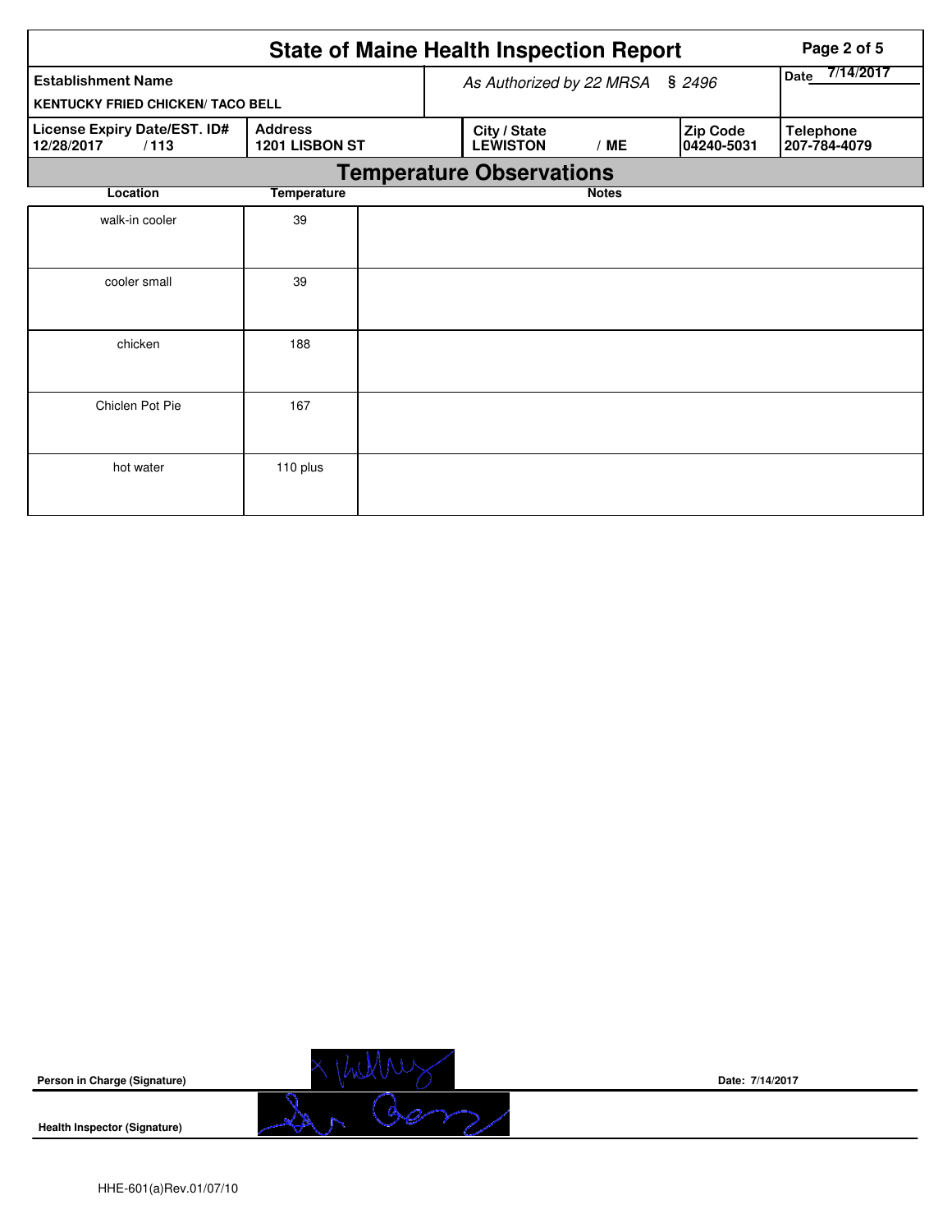|                                                    |                                  | <b>State of Maine Health Inspection Report</b> | Page 2 of 5  |                        |                                  |
|----------------------------------------------------|----------------------------------|------------------------------------------------|--------------|------------------------|----------------------------------|
| <b>Establishment Name</b>                          |                                  | As Authorized by 22 MRSA                       |              | \$2496                 | 7/14/2017<br>Date                |
| <b>KENTUCKY FRIED CHICKEN/ TACO BELL</b>           |                                  |                                                |              |                        |                                  |
| License Expiry Date/EST. ID#<br>12/28/2017<br>/113 | <b>Address</b><br>1201 LISBON ST | City / State<br><b>LEWISTON</b>                | /ME          | Zip Code<br>04240-5031 | <b>Telephone</b><br>207-784-4079 |
|                                                    |                                  | <b>Temperature Observations</b>                |              |                        |                                  |
| Location                                           | <b>Temperature</b>               |                                                | <b>Notes</b> |                        |                                  |
| walk-in cooler                                     | 39                               |                                                |              |                        |                                  |
| cooler small                                       | 39                               |                                                |              |                        |                                  |
| chicken                                            | 188                              |                                                |              |                        |                                  |
| Chiclen Pot Pie                                    | 167                              |                                                |              |                        |                                  |
| hot water                                          | 110 plus                         |                                                |              |                        |                                  |



**Date: 7/14/2017**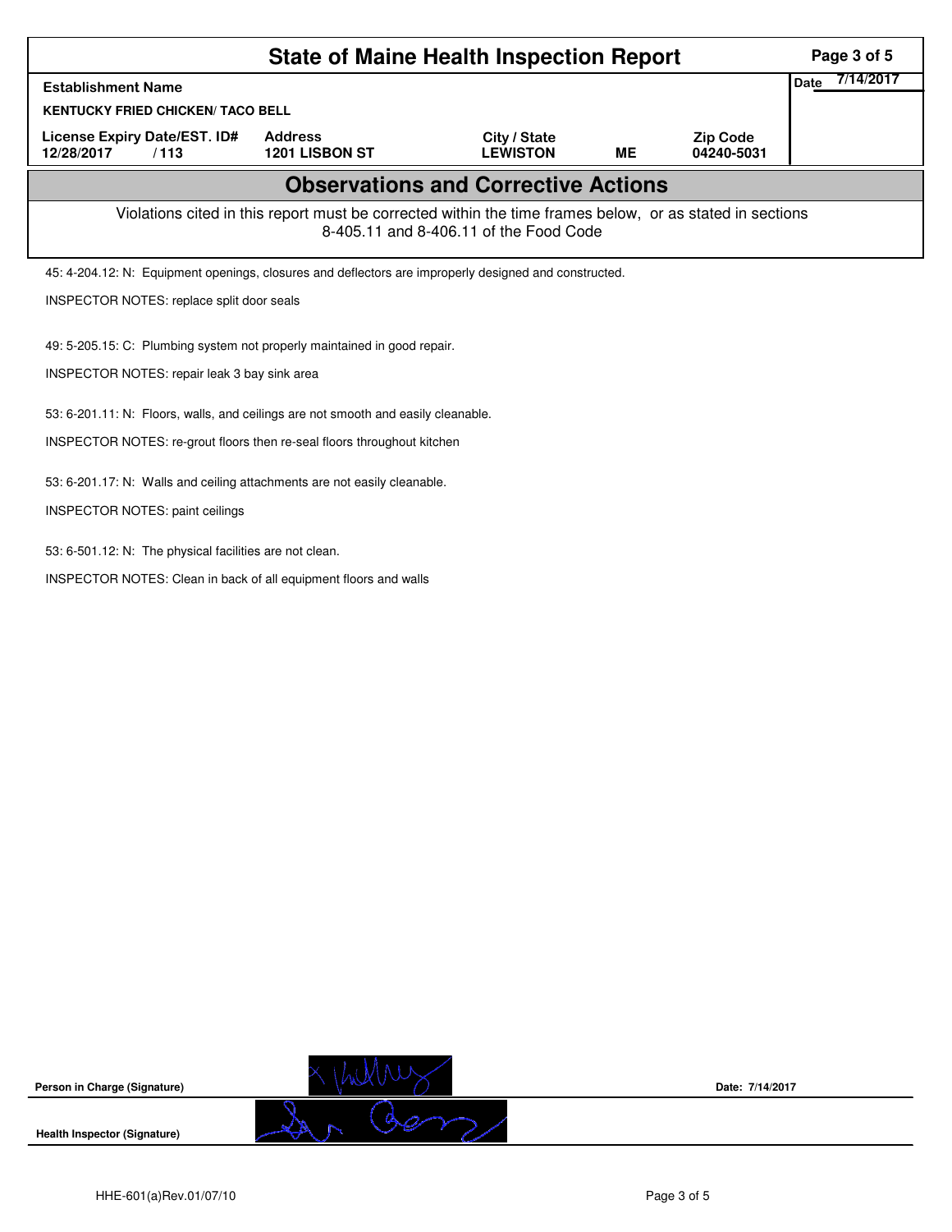| 7/14/2017<br>Date<br><b>Establishment Name</b><br><b>KENTUCKY FRIED CHICKEN/ TACO BELL</b><br><b>Address</b><br>License Expiry Date/EST. ID#<br>City / State<br><b>Zip Code</b><br><b>LEWISTON</b><br>12/28/2017<br>1201 LISBON ST<br><b>ME</b><br>04240-5031<br>/113<br><b>Observations and Corrective Actions</b><br>Violations cited in this report must be corrected within the time frames below, or as stated in sections<br>8-405.11 and 8-406.11 of the Food Code<br>45: 4-204.12: N: Equipment openings, closures and deflectors are improperly designed and constructed.<br>INSPECTOR NOTES: replace split door seals<br>49: 5-205.15: C: Plumbing system not properly maintained in good repair.<br>INSPECTOR NOTES: repair leak 3 bay sink area |  |  |  |  |  |  |  |  |  |
|-------------------------------------------------------------------------------------------------------------------------------------------------------------------------------------------------------------------------------------------------------------------------------------------------------------------------------------------------------------------------------------------------------------------------------------------------------------------------------------------------------------------------------------------------------------------------------------------------------------------------------------------------------------------------------------------------------------------------------------------------------------|--|--|--|--|--|--|--|--|--|
|                                                                                                                                                                                                                                                                                                                                                                                                                                                                                                                                                                                                                                                                                                                                                             |  |  |  |  |  |  |  |  |  |
|                                                                                                                                                                                                                                                                                                                                                                                                                                                                                                                                                                                                                                                                                                                                                             |  |  |  |  |  |  |  |  |  |
|                                                                                                                                                                                                                                                                                                                                                                                                                                                                                                                                                                                                                                                                                                                                                             |  |  |  |  |  |  |  |  |  |
|                                                                                                                                                                                                                                                                                                                                                                                                                                                                                                                                                                                                                                                                                                                                                             |  |  |  |  |  |  |  |  |  |
|                                                                                                                                                                                                                                                                                                                                                                                                                                                                                                                                                                                                                                                                                                                                                             |  |  |  |  |  |  |  |  |  |
|                                                                                                                                                                                                                                                                                                                                                                                                                                                                                                                                                                                                                                                                                                                                                             |  |  |  |  |  |  |  |  |  |
|                                                                                                                                                                                                                                                                                                                                                                                                                                                                                                                                                                                                                                                                                                                                                             |  |  |  |  |  |  |  |  |  |
|                                                                                                                                                                                                                                                                                                                                                                                                                                                                                                                                                                                                                                                                                                                                                             |  |  |  |  |  |  |  |  |  |
|                                                                                                                                                                                                                                                                                                                                                                                                                                                                                                                                                                                                                                                                                                                                                             |  |  |  |  |  |  |  |  |  |
| 53: 6-201.11: N: Floors, walls, and ceilings are not smooth and easily cleanable.                                                                                                                                                                                                                                                                                                                                                                                                                                                                                                                                                                                                                                                                           |  |  |  |  |  |  |  |  |  |
| INSPECTOR NOTES: re-grout floors then re-seal floors throughout kitchen                                                                                                                                                                                                                                                                                                                                                                                                                                                                                                                                                                                                                                                                                     |  |  |  |  |  |  |  |  |  |
| 53: 6-201.17: N: Walls and ceiling attachments are not easily cleanable.                                                                                                                                                                                                                                                                                                                                                                                                                                                                                                                                                                                                                                                                                    |  |  |  |  |  |  |  |  |  |
| <b>INSPECTOR NOTES: paint ceilings</b>                                                                                                                                                                                                                                                                                                                                                                                                                                                                                                                                                                                                                                                                                                                      |  |  |  |  |  |  |  |  |  |
| 53: 6-501.12: N: The physical facilities are not clean.                                                                                                                                                                                                                                                                                                                                                                                                                                                                                                                                                                                                                                                                                                     |  |  |  |  |  |  |  |  |  |
| INSPECTOR NOTES: Clean in back of all equipment floors and walls                                                                                                                                                                                                                                                                                                                                                                                                                                                                                                                                                                                                                                                                                            |  |  |  |  |  |  |  |  |  |



**Date: 7/14/2017**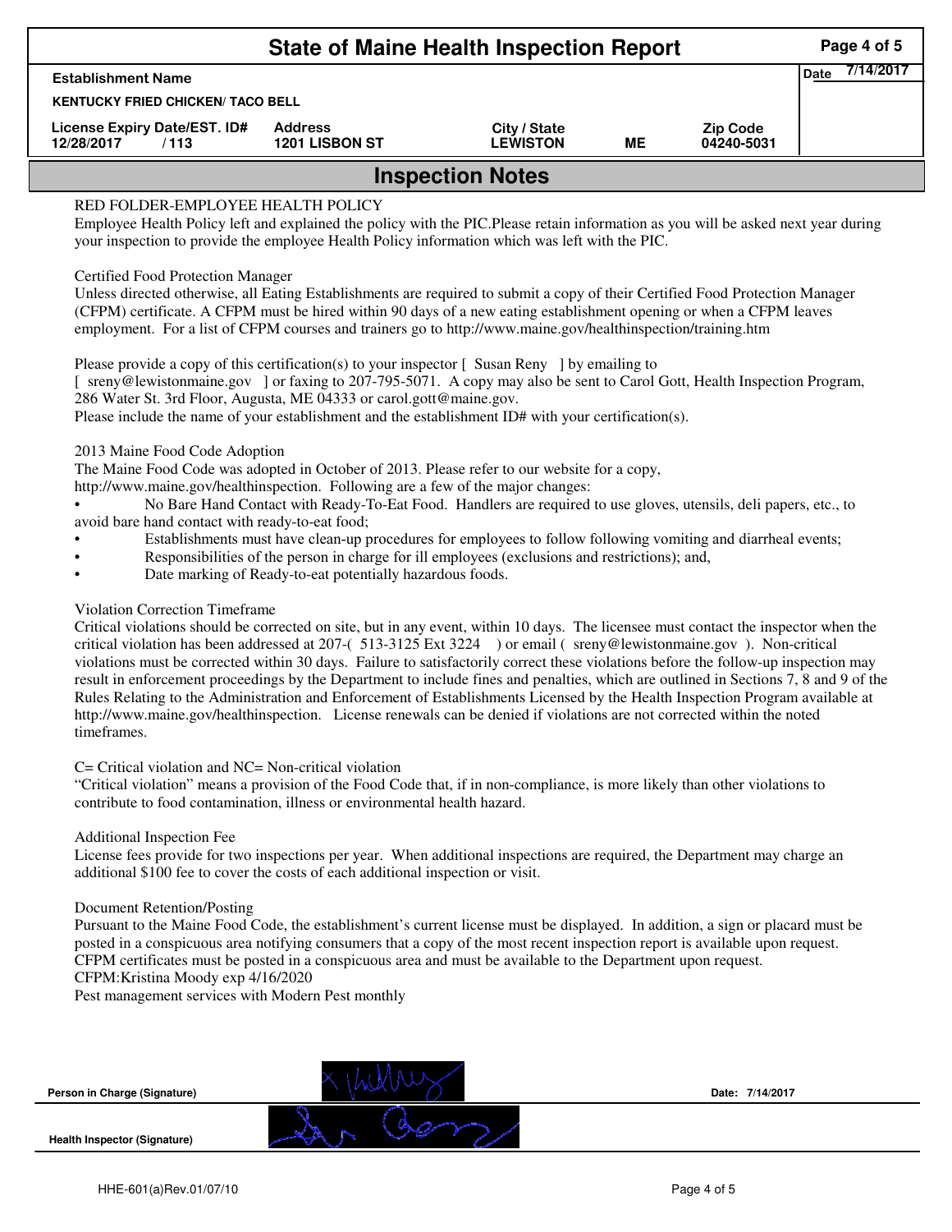| <b>State of Maine Health Inspection Report</b><br>Page 4 of 5                                                                                                                                                                                                                                                                                                                                                    |  |  |  |  |  |  |  |  |  |  |  |
|------------------------------------------------------------------------------------------------------------------------------------------------------------------------------------------------------------------------------------------------------------------------------------------------------------------------------------------------------------------------------------------------------------------|--|--|--|--|--|--|--|--|--|--|--|
| <b>Establishment Name</b><br><b>KENTUCKY FRIED CHICKEN/ TACO BELL</b>                                                                                                                                                                                                                                                                                                                                            |  |  |  |  |  |  |  |  |  |  |  |
| License Expiry Date/EST. ID#<br><b>Address</b><br>City / State<br><b>Zip Code</b><br><b>1201 LISBON ST</b><br><b>LEWISTON</b><br>ME<br>12/28/2017<br>/113<br>04240-5031                                                                                                                                                                                                                                          |  |  |  |  |  |  |  |  |  |  |  |
| <b>Inspection Notes</b>                                                                                                                                                                                                                                                                                                                                                                                          |  |  |  |  |  |  |  |  |  |  |  |
| RED FOLDER-EMPLOYEE HEALTH POLICY<br>Employee Health Policy left and explained the policy with the PIC. Please retain information as you will be asked next year during<br>your inspection to provide the employee Health Policy information which was left with the PIC.                                                                                                                                        |  |  |  |  |  |  |  |  |  |  |  |
| <b>Certified Food Protection Manager</b><br>Unless directed otherwise, all Eating Establishments are required to submit a copy of their Certified Food Protection Manager<br>(CFPM) certificate. A CFPM must be hired within 90 days of a new eating establishment opening or when a CFPM leaves<br>employment. For a list of CFPM courses and trainers go to http://www.maine.gov/healthinspection/training.htm |  |  |  |  |  |  |  |  |  |  |  |

Please provide a copy of this certification(s) to your inspector [Susan Reny ] by emailing to [ sreny@lewistonmaine.gov ] or faxing to 207-795-5071. A copy may also be sent to Carol Gott, Health Inspection Program, 286 Water St. 3rd Floor, Augusta, ME 04333 or carol.gott@maine.gov.

Please include the name of your establishment and the establishment ID# with your certification(s).

2013 Maine Food Code Adoption

The Maine Food Code was adopted in October of 2013. Please refer to our website for a copy,

http://www.maine.gov/healthinspection. Following are a few of the major changes:

• No Bare Hand Contact with Ready-To-Eat Food. Handlers are required to use gloves, utensils, deli papers, etc., to avoid bare hand contact with ready-to-eat food;

- Establishments must have clean-up procedures for employees to follow following vomiting and diarrheal events;
- Responsibilities of the person in charge for ill employees (exclusions and restrictions); and,
- Date marking of Ready-to-eat potentially hazardous foods.

## Violation Correction Timeframe

Critical violations should be corrected on site, but in any event, within 10 days. The licensee must contact the inspector when the critical violation has been addressed at 207-( 513-3125 Ext 3224 ) or email ( sreny@lewistonmaine.gov ). Non-critical violations must be corrected within 30 days. Failure to satisfactorily correct these violations before the follow-up inspection may result in enforcement proceedings by the Department to include fines and penalties, which are outlined in Sections 7, 8 and 9 of the Rules Relating to the Administration and Enforcement of Establishments Licensed by the Health Inspection Program available at http://www.maine.gov/healthinspection. License renewals can be denied if violations are not corrected within the noted timeframes.

## C= Critical violation and NC= Non-critical violation

"Critical violation" means a provision of the Food Code that, if in non-compliance, is more likely than other violations to contribute to food contamination, illness or environmental health hazard.

## Additional Inspection Fee

License fees provide for two inspections per year. When additional inspections are required, the Department may charge an additional \$100 fee to cover the costs of each additional inspection or visit.

## Document Retention/Posting

Pursuant to the Maine Food Code, the establishment's current license must be displayed. In addition, a sign or placard must be posted in a conspicuous area notifying consumers that a copy of the most recent inspection report is available upon request. CFPM certificates must be posted in a conspicuous area and must be available to the Department upon request.

CFPM:Kristina Moody exp 4/16/2020

Pest management services with Modern Pest monthly